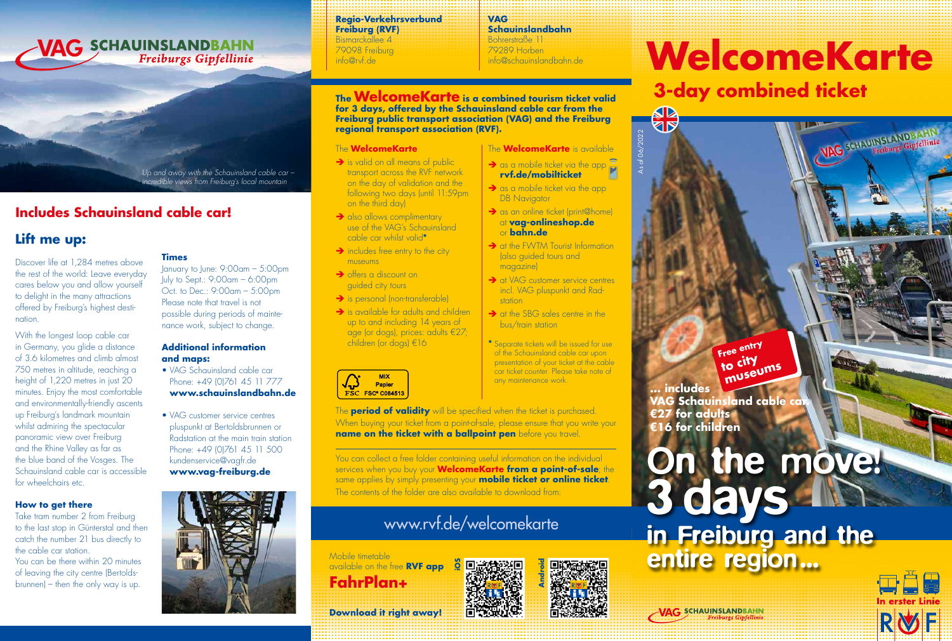#### **Regio-Verkehrsverbund Freiburg (RVF)**

Bismarckallee 4 79098 Freiburg info@rvf.de

#### **VAG Schauinslandbahn**

Bohrerstraße 11 79289 Horben info@schauinslandbahn.de

#### **The WelcomeKarte is a combined tourism ticket valid for 3 days, offered by the Schauinsland cable car from the Freiburg public transport association (VAG) and the Freiburg regional transport association (RVF).**

#### The **WelcomeKarte**

- $\rightarrow$  is valid on all means of public transport across the RVF network on the day of validation and the following two days (until 11:59pm) on the third day)
- $\rightarrow$  also allows complimentary use of the VAG's Schauinsland cable car whilst valid**\***
- $\rightarrow$  includes free entry to the city museums
- $\rightarrow$  offers a discount on guided city tours
- → is personal (non-transferable)
- is available for adults and children up to and including 14 years of age (or dogs), prices: adults €27; children (or dogs) €16



The **period of validity** will be specified when the ticket is purchased. When buying your ticket from a point-of-sale, please ensure that you write your **name on the ticket with a ballpoint pen** before you travel

You can collect a free folder containing useful information on the individual services when you buy your **WelcomeKarte from a point-of-sale**; the same applies by simply presenting your **mobile ticket or online ticket.** The contents of the folder are also available to download from:

## www.rvf.de/welcomekarte

### Mobile timetable

available on the free **RVF app FahrPlan+**

#### at **vag-onlineshop.de** or **bahn.de**  $\rightarrow$  at the FWTM Tourist Information

**DB** Navigator

(also guided tours and magazine)

 $\rightarrow$  as an online ticket (print@home)

The **WelcomeKarte** is available  $\rightarrow$  as a mobile ticket via the app **rvf.de/mobilticket**  $\rightarrow$  as a mobile ticket via the app

As of 06/2022

**AD**<br>RD

- **→** at VAG customer service centres incl. VAG pluspunkt and Radstation
- $\rightarrow$  at the SBG sales centre in the bus/train station
- **\*** Separate tickets will be issued for use of the Schauinsland cable car upon presentation of your ticket at the cable car ticket counter. Please take note of any maintenance work.

# **WelcomeKarte**

## **3-day combined ticket**



## in Freiburg and the entire region...



## **Android iOS**

**Download it right away!**

**Times**

**and maps:**

January to June: 9:00am – 5:00pm July to Sept.: 9:00am – 6:00pm Oct. to Dec.: 9:00am – 5:00pm Please note that travel is not possible during periods of maintenance work, subject to change.

*Up and away with the Schauinsland cable car – incredible views from Freiburg's local mountain* 

Freiburgs Gipfellinie

**Additional information**

• VAG Schauinsland cable car Phone: +49 (0)761 45 11 777 **www.schauinslandbahn.de**

• VAG customer service centres pluspunkt at Bertoldsbrunnen or Radstation at the main train station Phone: +49 (0)761 45 11 500 kundenservice@vagfr.de

Discover life at 1,284 metres above the rest of the world: Leave everyday cares below you and allow yourself to delight in the many attractions offered by Freiburg's highest destination.

**Includes Schauinsland cable car!**

VAG SCHAUINSLANDBAHN

**Lift me up:**

With the longest loop cable car in Germany, you glide a distance of 3.6 kilometres and climb almost 750 metres in altitude, reaching a height of 1,220 metres in just 20 minutes. Enjoy the most comfortable and environmentally-friendly ascents up Freiburg's landmark mountain whilst admiring the spectacular panoramic view over Freiburg and the Rhine Valley as far as the blue band of the Vosges. The Schauinsland cable car is accessible for wheelchairs etc.

#### **How to get there**

Take tram number 2 from Freiburg to the last stop in Günterstal and then catch the number 21 bus directly to the cable car station.

You can be there within 20 minutes of leaving the city centre (Bertoldsbrunnen) – then the only way is up.





**VAG** SCHAUINSLANDBAHN